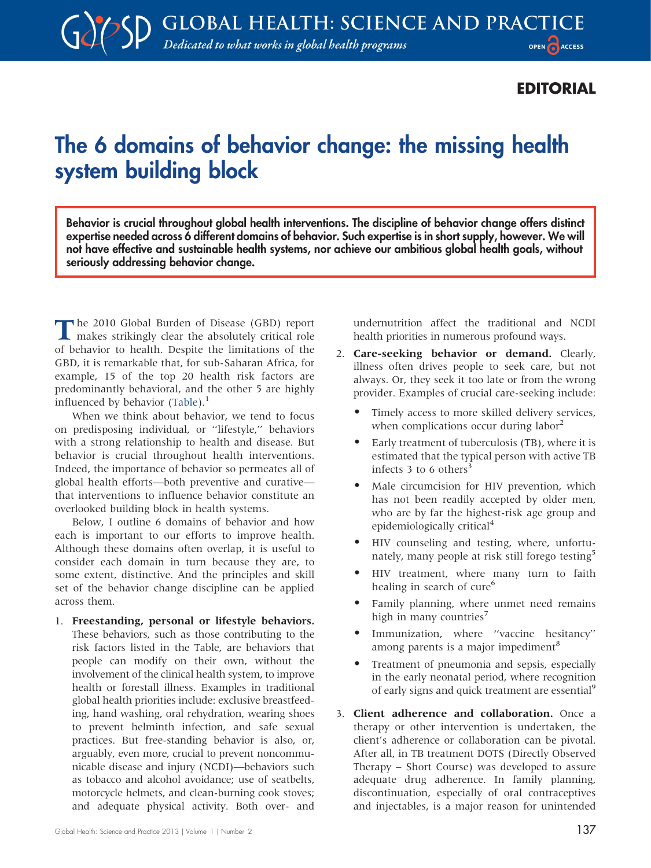## EDITORIAL

# The 6 domains of behavior change: the missing health system building block

Behavior is crucial throughout global health interventions. The discipline of behavior change offers distinct expertise needed across 6 different domains of behavior. Such expertise is in short supply, however. We will not have effective and sustainable health systems, nor achieve our ambitious global health goals, without seriously addressing behavior change.

The 2010 Global Burden of Disease (GBD) report makes strikingly clear the absolutely critical role of behavior to health. Despite the limitations of the GBD, it is remarkable that, for sub-Saharan Africa, for example, 15 of the top 20 health risk factors are predominantly behavioral, and the other 5 are highly influenced by behavior [\(Table](#page-1-0)).<sup>1</sup>

When we think about behavior, we tend to focus on predisposing individual, or ''lifestyle,'' behaviors with a strong relationship to health and disease. But behavior is crucial throughout health interventions. Indeed, the importance of behavior so permeates all of global health efforts—both preventive and curative that interventions to influence behavior constitute an overlooked building block in health systems.

Below, I outline 6 domains of behavior and how each is important to our efforts to improve health. Although these domains often overlap, it is useful to consider each domain in turn because they are, to some extent, distinctive. And the principles and skill set of the behavior change discipline can be applied across them.

1. Freestanding, personal or lifestyle behaviors. These behaviors, such as those contributing to the risk factors listed in the Table, are behaviors that people can modify on their own, without the involvement of the clinical health system, to improve health or forestall illness. Examples in traditional global health priorities include: exclusive breastfeeding, hand washing, oral rehydration, wearing shoes to prevent helminth infection, and safe sexual practices. But free-standing behavior is also, or, arguably, even more, crucial to prevent noncommunicable disease and injury (NCDI)—behaviors such as tobacco and alcohol avoidance; use of seatbelts, motorcycle helmets, and clean-burning cook stoves; and adequate physical activity. Both over- and

undernutrition affect the traditional and NCDI health priorities in numerous profound ways.

- 2. Care-seeking behavior or demand. Clearly, illness often drives people to seek care, but not always. Or, they seek it too late or from the wrong provider. Examples of crucial care-seeking include:
	- Timely access to more skilled delivery services, when complications occur during labor<sup>2</sup>
	- Early treatment of tuberculosis (TB), where it is estimated that the typical person with active TB infects 3 to 6 others<sup>3</sup>
	- Male circumcision for HIV prevention, which has not been readily accepted by older men, who are by far the highest-risk age group and epidemiologically critical<sup>4</sup>
	- HIV counseling and testing, where, unfortunately, many people at risk still forego testing<sup>5</sup>
	- HIV treatment, where many turn to faith healing in search of cure<sup>6</sup>
	- Family planning, where unmet need remains high in many countries<sup>7</sup>
	- N Immunization, where ''vaccine hesitancy'' among parents is a major impediment<sup>8</sup>
	- Treatment of pneumonia and sepsis, especially in the early neonatal period, where recognition of early signs and quick treatment are essential<sup>9</sup>
- 3. Client adherence and collaboration. Once a therapy or other intervention is undertaken, the client's adherence or collaboration can be pivotal. After all, in TB treatment DOTS (Directly Observed Therapy – Short Course) was developed to assure adequate drug adherence. In family planning, discontinuation, especially of oral contraceptives and injectables, is a major reason for unintended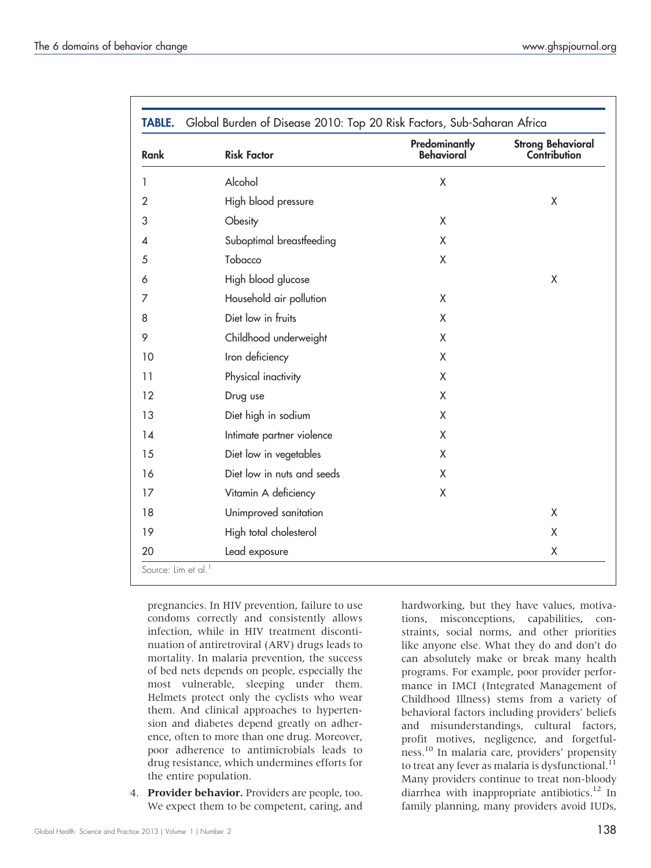<span id="page-1-0"></span>

| Rank | <b>Risk Factor</b>         | Predominantly<br><b>Behavioral</b> | <b>Strong Behavioral</b><br>Contribution |
|------|----------------------------|------------------------------------|------------------------------------------|
| 1    | Alcohol                    | Χ                                  |                                          |
| 2    | High blood pressure        |                                    | X                                        |
| 3    | Obesity                    | X                                  |                                          |
| 4    | Suboptimal breastfeeding   | X                                  |                                          |
| 5    | Tobacco                    | Χ                                  |                                          |
| 6    | High blood glucose         |                                    | X                                        |
| 7    | Household air pollution    | X                                  |                                          |
| 8    | Diet low in fruits         | Χ                                  |                                          |
| 9    | Childhood underweight      | Χ                                  |                                          |
| 10   | Iron deficiency            | X                                  |                                          |
| 11   | Physical inactivity        | X                                  |                                          |
| 12   | Drug use                   | X                                  |                                          |
| 13   | Diet high in sodium        | X                                  |                                          |
| 14   | Intimate partner violence  | X                                  |                                          |
| 15   | Diet low in vegetables     | X                                  |                                          |
| 16   | Diet low in nuts and seeds | Χ                                  |                                          |
| 17   | Vitamin A deficiency       | Χ                                  |                                          |
| 18   | Unimproved sanitation      |                                    | X                                        |
| 19   | High total cholesterol     |                                    | X                                        |
| 20   | Lead exposure              |                                    | X                                        |

pregnancies. In HIV prevention, failure to use condoms correctly and consistently allows infection, while in HIV treatment discontinuation of antiretroviral (ARV) drugs leads to mortality. In malaria prevention, the success of bed nets depends on people, especially the most vulnerable, sleeping under them. Helmets protect only the cyclists who wear them. And clinical approaches to hypertension and diabetes depend greatly on adherence, often to more than one drug. Moreover, poor adherence to antimicrobials leads to drug resistance, which undermines efforts for the entire population.

4. Provider behavior. Providers are people, too. We expect them to be competent, caring, and hardworking, but they have values, motivations, misconceptions, capabilities, constraints, social norms, and other priorities like anyone else. What they do and don't do can absolutely make or break many health programs. For example, poor provider performance in IMCI (Integrated Management of Childhood Illness) stems from a variety of behavioral factors including providers' beliefs and misunderstandings, cultural factors, profit motives, negligence, and forgetfulness.10 In malaria care, providers' propensity to treat any fever as malaria is dysfunctional. $^{11}$ Many providers continue to treat non-bloody diarrhea with inappropriate antibiotics.<sup>12</sup> In family planning, many providers avoid IUDs,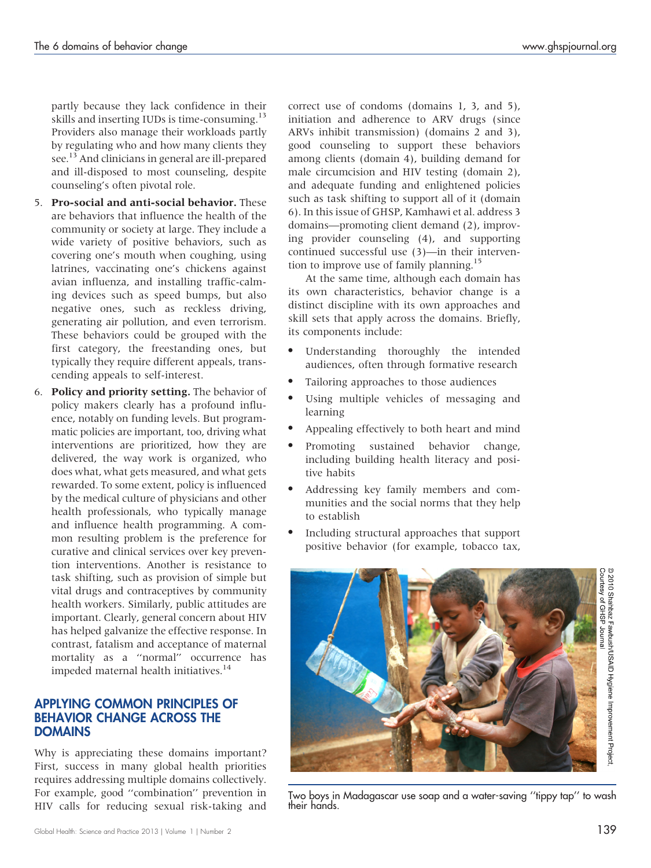partly because they lack confidence in their skills and inserting IUDs is time-consuming.<sup>13</sup> Providers also manage their workloads partly by regulating who and how many clients they see.<sup>13</sup> And clinicians in general are ill-prepared and ill-disposed to most counseling, despite counseling's often pivotal role.

- 5. Pro-social and anti-social behavior. These are behaviors that influence the health of the community or society at large. They include a wide variety of positive behaviors, such as covering one's mouth when coughing, using latrines, vaccinating one's chickens against avian influenza, and installing traffic-calming devices such as speed bumps, but also negative ones, such as reckless driving, generating air pollution, and even terrorism. These behaviors could be grouped with the first category, the freestanding ones, but typically they require different appeals, transcending appeals to self-interest.
- 6. Policy and priority setting. The behavior of policy makers clearly has a profound influence, notably on funding levels. But programmatic policies are important, too, driving what interventions are prioritized, how they are delivered, the way work is organized, who does what, what gets measured, and what gets rewarded. To some extent, policy is influenced by the medical culture of physicians and other health professionals, who typically manage and influence health programming. A common resulting problem is the preference for curative and clinical services over key prevention interventions. Another is resistance to task shifting, such as provision of simple but vital drugs and contraceptives by community health workers. Similarly, public attitudes are important. Clearly, general concern about HIV has helped galvanize the effective response. In contrast, fatalism and acceptance of maternal mortality as a ''normal'' occurrence has impeded maternal health initiatives.<sup>14</sup>

### APPLYING COMMON PRINCIPLES OF BEHAVIOR CHANGE ACROSS THE **DOMAINS**

Why is appreciating these domains important? First, success in many global health priorities requires addressing multiple domains collectively. For example, good ''combination'' prevention in HIV calls for reducing sexual risk-taking and correct use of condoms (domains 1, 3, and 5), initiation and adherence to ARV drugs (since ARVs inhibit transmission) (domains 2 and 3), good counseling to support these behaviors among clients (domain 4), building demand for male circumcision and HIV testing (domain 2), and adequate funding and enlightened policies such as task shifting to support all of it (domain 6). In this issue of GHSP, Kamhawi et al. address 3 domains—promoting client demand (2), improving provider counseling (4), and supporting continued successful use (3)—in their intervention to improve use of family planning.<sup>15</sup>

At the same time, although each domain has its own characteristics, behavior change is a distinct discipline with its own approaches and skill sets that apply across the domains. Briefly, its components include:

- Understanding thoroughly the intended audiences, often through formative research
- Tailoring approaches to those audiences
- Using multiple vehicles of messaging and learning
- Appealing effectively to both heart and mind
- Promoting sustained behavior change, including building health literacy and positive habits
- Addressing key family members and communities and the social norms that they help to establish
- N Including structural approaches that support positive behavior (for example, tobacco tax,



Two boys in Madagascar use soap and a water-saving ''tippy tap'' to wash their hands.